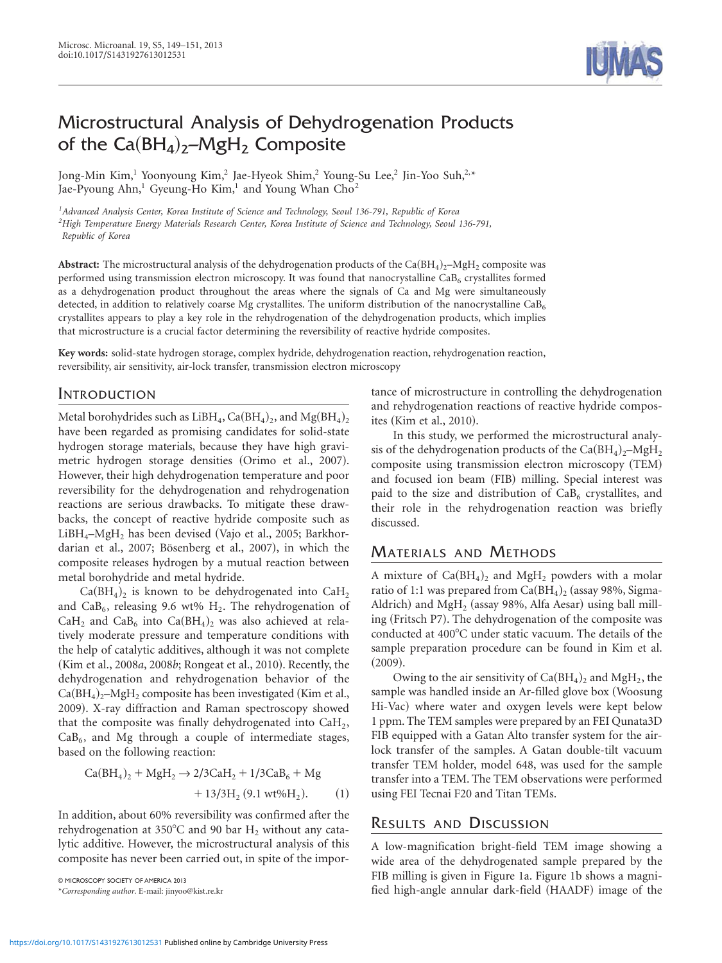# Microstructural Analysis of Dehydrogenation Products of the  $Ca(BH_4)_2-MgH_2$  Composite

Jong-Min Kim,<sup>1</sup> Yoonyoung Kim,<sup>2</sup> Jae-Hyeok Shim,<sup>2</sup> Young-Su Lee,<sup>2</sup> Jin-Yoo Suh,<sup>2,\*</sup> Jae-Pyoung Ahn,<sup>1</sup> Gyeung-Ho Kim,<sup>1</sup> and Young Whan  $Cho<sup>2</sup>$ 

*1 Advanced Analysis Center, Korea Institute of Science and Technology, Seoul 136-791, Republic of Korea 2 High Temperature Energy Materials Research Center, Korea Institute of Science and Technology, Seoul 136-791, Republic of Korea*

**Abstract:** The microstructural analysis of the dehydrogenation products of the  $Ca(BH_4)<sub>2</sub>$ –MgH<sub>2</sub> composite was performed using transmission electron microscopy. It was found that nanocrystalline  $\text{CaB}_6$  crystallites formed as a dehydrogenation product throughout the areas where the signals of Ca and Mg were simultaneously detected, in addition to relatively coarse Mg crystallites. The uniform distribution of the nanocrystalline  $CaB_6$ crystallites appears to play a key role in the rehydrogenation of the dehydrogenation products, which implies that microstructure is a crucial factor determining the reversibility of reactive hydride composites.

**Key words:** solid-state hydrogen storage, complex hydride, dehydrogenation reaction, rehydrogenation reaction, reversibility, air sensitivity, air-lock transfer, transmission electron microscopy

## INTRODUCTION

Metal borohydrides such as LiBH<sub>4</sub>, Ca(BH<sub>4</sub>)<sub>2</sub>, and Mg(BH<sub>4</sub>)<sub>2</sub> have been regarded as promising candidates for solid-state hydrogen storage materials, because they have high gravimetric hydrogen storage densities (Orimo et al., 2007). However, their high dehydrogenation temperature and poor reversibility for the dehydrogenation and rehydrogenation reactions are serious drawbacks. To mitigate these drawbacks, the concept of reactive hydride composite such as  $LiBH_{4}-MgH_{2}$  has been devised (Vajo et al., 2005; Barkhordarian et al., 2007; Bösenberg et al., 2007), in which the composite releases hydrogen by a mutual reaction between metal borohydride and metal hydride.

 $Ca(BH<sub>4</sub>)<sub>2</sub>$  is known to be dehydrogenated into  $CaH<sub>2</sub>$ and CaB<sub>6</sub>, releasing 9.6 wt%  $H_2$ . The rehydrogenation of CaH<sub>2</sub> and CaB<sub>6</sub> into Ca(BH<sub>4</sub>)<sub>2</sub> was also achieved at relatively moderate pressure and temperature conditions with the help of catalytic additives, although it was not complete (Kim et al., 2008*a*, 2008*b*; Rongeat et al., 2010). Recently, the dehydrogenation and rehydrogenation behavior of the  $Ca(BH_4)_{2}$ –MgH<sub>2</sub> composite has been investigated (Kim et al., 2009). X-ray diffraction and Raman spectroscopy showed that the composite was finally dehydrogenated into CaH2,  $CaB<sub>6</sub>$ , and Mg through a couple of intermediate stages, based on the following reaction:

$$
Ca(BH4)2 + MgH2 \rightarrow 2/3CaH2 + 1/3CaB6 + Mg + 13/3H2 (9.1 wt\%H2).
$$
 (1)

In addition, about 60% reversibility was confirmed after the rehydrogenation at 350°C and 90 bar  $H_2$  without any catalytic additive. However, the microstructural analysis of this composite has never been carried out, in spite of the impor-

tance of microstructure in controlling the dehydrogenation and rehydrogenation reactions of reactive hydride composites (Kim et al., 2010).

In this study, we performed the microstructural analysis of the dehydrogenation products of the  $Ca(BH_4)_2-MgH_2$ composite using transmission electron microscopy (TEM) and focused ion beam (FIB) milling. Special interest was paid to the size and distribution of  $CaB<sub>6</sub>$  crystallites, and their role in the rehydrogenation reaction was briefly discussed.

### MATERIALS AND METHODS

A mixture of  $Ca(BH<sub>4</sub>)<sub>2</sub>$  and  $MgH<sub>2</sub>$  powders with a molar ratio of 1:1 was prepared from  $Ca(BH<sub>4</sub>)<sub>2</sub>$  (assay 98%, Sigma-Aldrich) and  $MgH_2$  (assay 98%, Alfa Aesar) using ball milling (Fritsch P7). The dehydrogenation of the composite was conducted at 400°C under static vacuum. The details of the sample preparation procedure can be found in Kim et al.  $(2009).$ 

Owing to the air sensitivity of  $Ca(BH<sub>4</sub>)<sub>2</sub>$  and MgH<sub>2</sub>, the sample was handled inside an Ar-filled glove box (Woosung Hi-Vac) where water and oxygen levels were kept below 1 ppm. The TEM samples were prepared by an FEI Qunata3D FIB equipped with a Gatan Alto transfer system for the airlock transfer of the samples. A Gatan double-tilt vacuum transfer TEM holder, model 648, was used for the sample transfer into a TEM. The TEM observations were performed using FEI Tecnai F20 and Titan TEMs.

### RESULTS AND DISCUSSION

A low-magnification bright-field TEM image showing a wide area of the dehydrogenated sample prepared by the FIB milling is given in Figure 1a. Figure 1b shows a magnified high-angle annular dark-field <sup>~</sup>HAADF! image of the © MICROSCOPY SOCIETY OF AMERICA 2013



<sup>\*</sup>*Corresponding author*. E-mail: jinyoo@kist.re.kr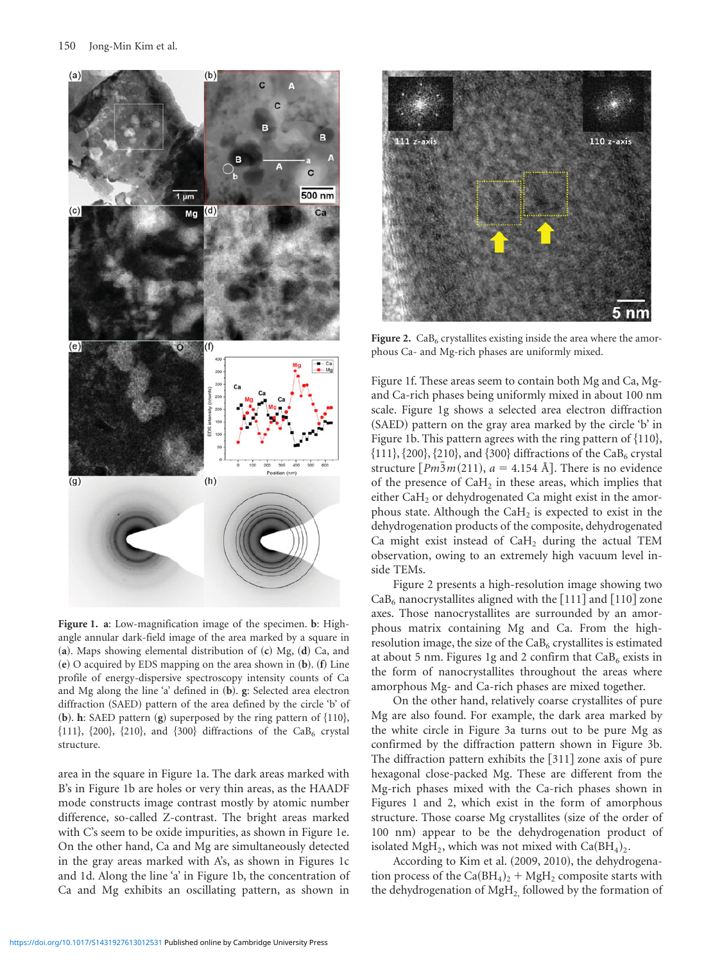

**Figure 1. a**: Low-magnification image of the specimen. **b**: Highangle annular dark-field image of the area marked by a square in (a). Maps showing elemental distribution of (c) Mg, (d) Ca, and  $\bf{e}$   $\bf{e}$   $\bf{e}$   $\bf{o}$  acquired by EDS mapping on the area shown in  $\bf{(b)}$ .  $\bf{f}$  Line profile of energy-dispersive spectroscopy intensity counts of Ca and Mg along the line 'a' defined in ~**b**!. **g**: Selected area electron diffraction  $(SAED)$  pattern of the area defined by the circle 'b' of **. <b>h**: SAED pattern  **superposed by the ring pattern of**  $\{110\}$ **,**  $\{111\}$ ,  $\{200\}$ ,  $\{210\}$ , and  $\{300\}$  diffractions of the CaB<sub>6</sub> crystal structure.

area in the square in Figure 1a. The dark areas marked with B's in Figure 1b are holes or very thin areas, as the HAADF mode constructs image contrast mostly by atomic number difference, so-called Z-contrast. The bright areas marked with C's seem to be oxide impurities, as shown in Figure 1e. On the other hand, Ca and Mg are simultaneously detected in the gray areas marked with A's, as shown in Figures 1c and 1d. Along the line 'a' in Figure 1b, the concentration of Ca and Mg exhibits an oscillating pattern, as shown in



**Figure 2.**  $CaB<sub>6</sub>$  crystallites existing inside the area where the amorphous Ca- and Mg-rich phases are uniformly mixed.

Figure 1f. These areas seem to contain both Mg and Ca, Mgand Ca-rich phases being uniformly mixed in about 100 nm scale. Figure 1g shows a selected area electron diffraction (SAED) pattern on the gray area marked by the circle 'b' in Figure 1b. This pattern agrees with the ring pattern of  $\{110\}$ ,  $\{111\}, \{200\}, \{210\},$  and  $\{300\}$  diffractions of the CaB<sub>6</sub> crystal structure  $[Pm\overline{3}m(211), a = 4.154 \text{ Å}]$ . There is no evidence of the presence of  $CaH<sub>2</sub>$  in these areas, which implies that either CaH<sub>2</sub> or dehydrogenated Ca might exist in the amorphous state. Although the  $CaH<sub>2</sub>$  is expected to exist in the dehydrogenation products of the composite, dehydrogenated Ca might exist instead of CaH2 during the actual TEM observation, owing to an extremely high vacuum level inside TEMs.

Figure 2 presents a high-resolution image showing two  $CaB<sub>6</sub>$  nanocrystallites aligned with the [111] and [110] zone axes. Those nanocrystallites are surrounded by an amorphous matrix containing Mg and Ca. From the highresolution image, the size of the  $CaB<sub>6</sub>$  crystallites is estimated at about 5 nm. Figures 1g and 2 confirm that  $CaB<sub>6</sub>$  exists in the form of nanocrystallites throughout the areas where amorphous Mg- and Ca-rich phases are mixed together.

On the other hand, relatively coarse crystallites of pure Mg are also found. For example, the dark area marked by the white circle in Figure 3a turns out to be pure Mg as confirmed by the diffraction pattern shown in Figure 3b. The diffraction pattern exhibits the  $[311]$  zone axis of pure hexagonal close-packed Mg. These are different from the Mg-rich phases mixed with the Ca-rich phases shown in Figures 1 and 2, which exist in the form of amorphous structure. Those coarse Mg crystallites (size of the order of 100 nm) appear to be the dehydrogenation product of isolated MgH<sub>2</sub>, which was not mixed with  $Ca(BH<sub>4</sub>)<sub>2</sub>$ .

According to Kim et al. (2009, 2010), the dehydrogenation process of the  $Ca(BH_4)_2 + MgH_2$  composite starts with the dehydrogenation of  $MgH<sub>2</sub>$  followed by the formation of